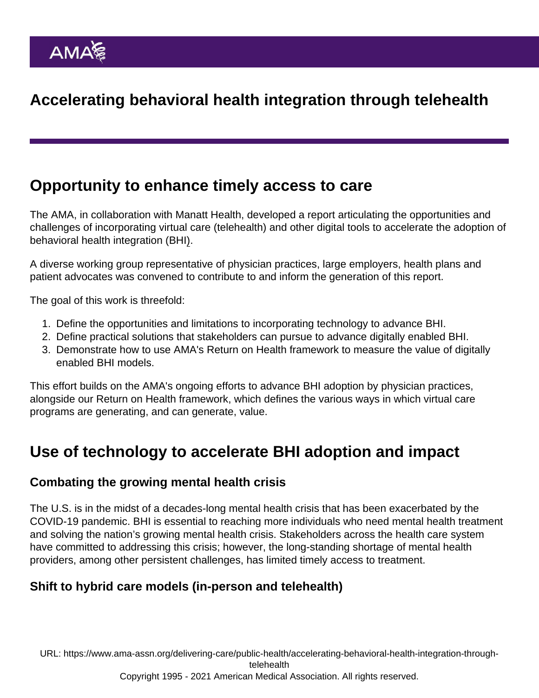# Accelerating behavioral health integration through telehealth

## Opportunity to enhance timely access to care

The AMA, in collaboration with Manatt Health, developed a report articulating the opportunities and challenges of incorporating virtual care (telehealth) and other digital tools to accelerate the adoption of [behavioral health integration \(BHI](https://www.ama-assn.org/delivering-care/public-health/behavioral-health-integration-physician-practices)).

A diverse working group representative of physician practices, large employers, health plans and patient advocates was convened to contribute to and inform the generation of this report.

The goal of this work is threefold:

- 1. Define the opportunities and limitations to incorporating technology to advance BHI.
- 2. Define practical solutions that stakeholders can pursue to advance digitally enabled BHI.
- 3. Demonstrate how to use AMA's Return on Health framework to measure the value of digitally enabled BHI models.

This effort builds on the AMA's ongoing efforts to [advance BHI adoption](https://www.ama-assn.org/delivering-care/public-health/behavioral-health-integration-physician-practices) by physician practices, alongside our [Return on Health framework](https://www.ama-assn.org/practice-management/digital/amas-return-health-telehealth-framework-practices), which defines the various ways in which virtual care programs are generating, and can generate, value.

## Use of technology to accelerate BHI adoption and impact

#### Combating the growing mental health crisis

The U.S. is in the midst of a decades-long mental health crisis that has been exacerbated by the [COVID-19 pandemic.](https://www.ama-assn.org/topics/coronavirus-covid-19) BHI is essential to reaching more individuals who need mental health treatment and solving the nation's growing mental health crisis. Stakeholders across the health care system have committed to addressing this crisis; however, the long-standing shortage of mental health providers, among other persistent challenges, has limited timely access to treatment.

Shift to hybrid care models (in-person and telehealth)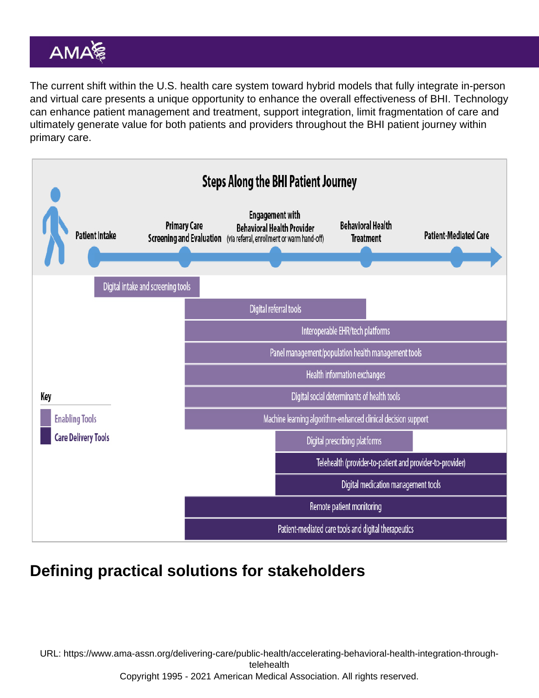The current shift within the U.S. health care system toward hybrid models that fully integrate in-person and virtual care presents a unique opportunity to enhance the overall effectiveness of BHI. Technology can enhance patient management and treatment, support integration, limit fragmentation of care and ultimately generate value for both patients and providers throughout the BHI patient journey within primary care.

## Defining practical solutions for stakeholders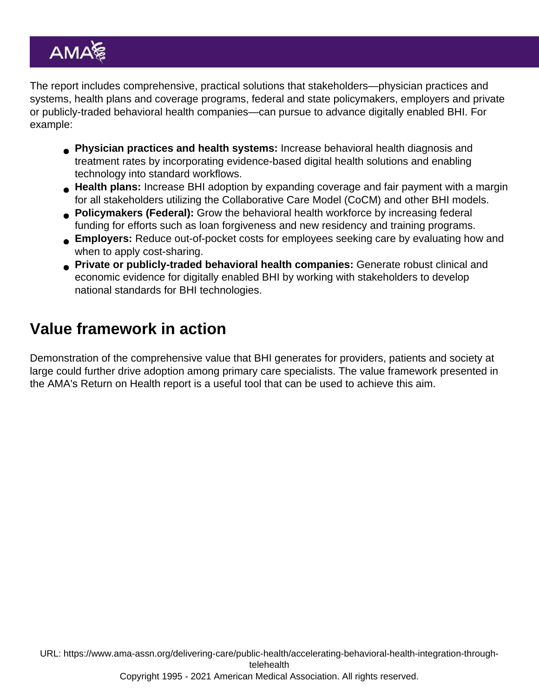The report includes comprehensive, practical solutions that stakeholders—physician practices and systems, health plans and coverage programs, federal and state policymakers, employers and private or publicly-traded behavioral health companies—can pursue to advance digitally enabled BHI. For example:

- Physician practices and health systems: Increase behavioral health diagnosis and treatment rates by incorporating evidence-based digital health solutions and enabling technology into standard workflows.
- Health plans: Increase BHI adoption by expanding coverage and fair payment with a margin for all stakeholders utilizing the Collaborative Care Model (CoCM) and other BHI models.
- Policymakers (Federal): Grow the behavioral health workforce by increasing federal funding for efforts such as loan forgiveness and new residency and training programs.
- Employers: Reduce out-of-pocket costs for employees seeking care by evaluating how and when to apply cost-sharing.
- **Private or publicly-traded behavioral health companies:** Generate robust clinical and economic evidence for digitally enabled BHI by working with stakeholders to develop national standards for BHI technologies.

# Value framework in action

Demonstration of the comprehensive value that BHI generates for providers, patients and society at large could further drive adoption among primary care specialists. The value framework presented in the [AMA's Return on Health report](https://www.ama-assn.org/practice-management/digital/amas-return-health-telehealth-framework-practices) is a useful tool that can be used to achieve this aim.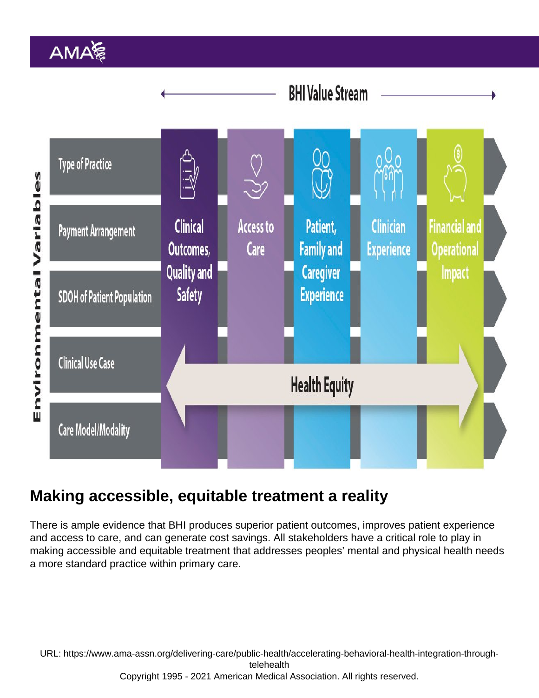### Making accessible, equitable treatment a reality

There is ample evidence that BHI produces superior patient outcomes, improves patient experience and access to care, and can generate cost savings. All stakeholders have a critical role to play in making accessible and equitable treatment that addresses peoples' mental and physical health needs a more standard practice within primary care.